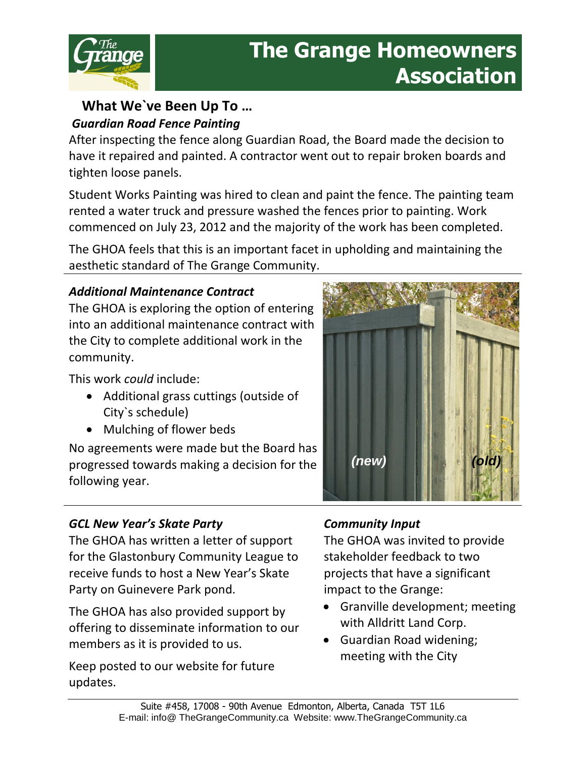

# **The Grange Homeowners Association**

## **What We`ve Been Up To …** *Guardian Road Fence Painting*

After inspecting the fence along Guardian Road, the Board made the decision to have it repaired and painted. A contractor went out to repair broken boards and tighten loose panels.

Student Works Painting was hired to clean and paint the fence. The painting team rented a water truck and pressure washed the fences prior to painting. Work commenced on July 23, 2012 and the majority of the work has been completed.

The GHOA feels that this is an important facet in upholding and maintaining the aesthetic standard of The Grange Community.

## *Additional Maintenance Contract*

The GHOA is exploring the option of entering into an additional maintenance contract with the City to complete additional work in the community.

This work *could* include:

- Additional grass cuttings (outside of City`s schedule)
- Mulching of flower beds

No agreements were made but the Board has progressed towards making a decision for the following year.



The GHOA has written a letter of support for the Glastonbury Community League to receive funds to host a New Year's Skate Party on Guinevere Park pond.

The GHOA has also provided support by offering to disseminate information to our members as it is provided to us.

Keep posted to our website for future updates.



## *Community Input*

The GHOA was invited to provide stakeholder feedback to two projects that have a significant impact to the Grange:

- Granville development; meeting with Alldritt Land Corp.
- Guardian Road widening; meeting with the City